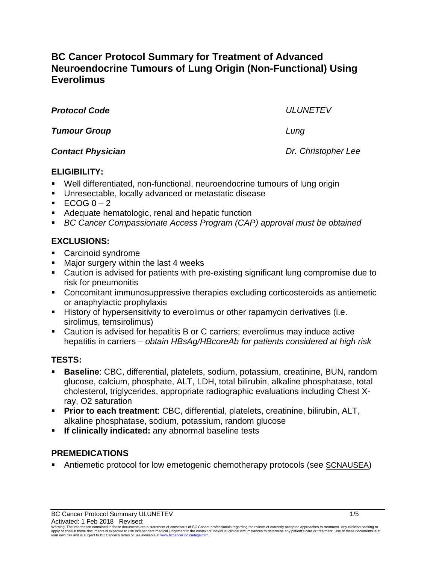# **BC Cancer Protocol Summary for Treatment of Advanced Neuroendocrine Tumours of Lung Origin (Non-Functional) Using Everolimus**

*Protocol Code ULUNETEV*

*Tumour Group Lung*

*Contact Physician Dr. Christopher Lee*

## **ELIGIBILITY:**

- Well differentiated, non-functional, neuroendocrine tumours of lung origin
- Unresectable, locally advanced or metastatic disease
- $\text{ECOG } 0 2$
- Adequate hematologic, renal and hepatic function
- *BC Cancer Compassionate Access Program (CAP) approval must be obtained*

# **EXCLUSIONS:**

- Carcinoid syndrome
- Major surgery within the last 4 weeks
- Caution is advised for patients with pre-existing significant lung compromise due to risk for pneumonitis
- Concomitant immunosuppressive therapies excluding corticosteroids as antiemetic or anaphylactic prophylaxis
- **History of hypersensitivity to everolimus or other rapamycin derivatives (i.e.** sirolimus, temsirolimus)
- Caution is advised for hepatitis B or C carriers; everolimus may induce active hepatitis in carriers – *obtain HBsAg/HBcoreAb for patients considered at high risk*

# **TESTS:**

- **Baseline**: CBC, differential, platelets, sodium, potassium, creatinine, BUN, random glucose, calcium, phosphate, ALT, LDH, total bilirubin, alkaline phosphatase, total cholesterol, triglycerides, appropriate radiographic evaluations including Chest Xray, O2 saturation
- **Prior to each treatment**: CBC, differential, platelets, creatinine, bilirubin, ALT, alkaline phosphatase, sodium, potassium, random glucose
- **If clinically indicated:** any abnormal baseline tests

# **PREMEDICATIONS**

Antiemetic protocol for low emetogenic chemotherapy protocols (see [SCNAUSEA\)](http://www.bccancer.bc.ca/HPI/ChemotherapyProtocols/SupportiveCare/SCNAUSEA.htm)

Warning: The information contained in these documents are a statement of consensus of BC Cancer professionals regarding their views of currently accepted approaches to treatment. Any clinician seeking to<br>apply or consult t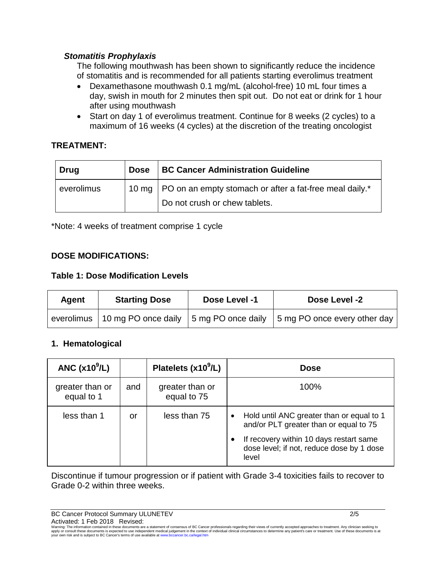### *Stomatitis Prophylaxis*

The following mouthwash has been shown to significantly reduce the incidence of stomatitis and is recommended for all patients starting everolimus treatment

- Dexamethasone mouthwash 0.1 mg/mL (alcohol-free) 10 mL four times a day, swish in mouth for 2 minutes then spit out. Do not eat or drink for 1 hour after using mouthwash
- Start on day 1 of everolimus treatment. Continue for 8 weeks (2 cycles) to a maximum of 16 weeks (4 cycles) at the discretion of the treating oncologist

### **TREATMENT:**

| <b>Drug</b> | <b>Dose</b> | <b>BC Cancer Administration Guideline</b>                       |
|-------------|-------------|-----------------------------------------------------------------|
| everolimus  |             | 10 mg   PO on an empty stomach or after a fat-free meal daily.* |
|             |             | Do not crush or chew tablets.                                   |

\*Note: 4 weeks of treatment comprise 1 cycle

### **DOSE MODIFICATIONS:**

### **Table 1: Dose Modification Levels**

| <b>Agent</b> | <b>Starting Dose</b> | Dose Level -1 | Dose Level -2                                                                        |
|--------------|----------------------|---------------|--------------------------------------------------------------------------------------|
|              |                      |               | everolimus   10 mg PO once daily   5 mg PO once daily   5 mg PO once every other day |

### **1. Hematological**

| ANC $(x10^9/L)$               |     | Platelets $(x109/L)$           | <b>Dose</b>                                                                                                                                                                          |
|-------------------------------|-----|--------------------------------|--------------------------------------------------------------------------------------------------------------------------------------------------------------------------------------|
| greater than or<br>equal to 1 | and | greater than or<br>equal to 75 | 100%                                                                                                                                                                                 |
| less than 1                   | or  | less than 75                   | Hold until ANC greater than or equal to 1<br>and/or PLT greater than or equal to 75<br>If recovery within 10 days restart same<br>dose level; if not, reduce dose by 1 dose<br>level |

Discontinue if tumour progression or if patient with Grade 3-4 toxicities fails to recover to Grade 0-2 within three weeks.

BC Cancer Protocol Summary ULUNETEV 2/5 Activated: 1 Feb 2018 Revised: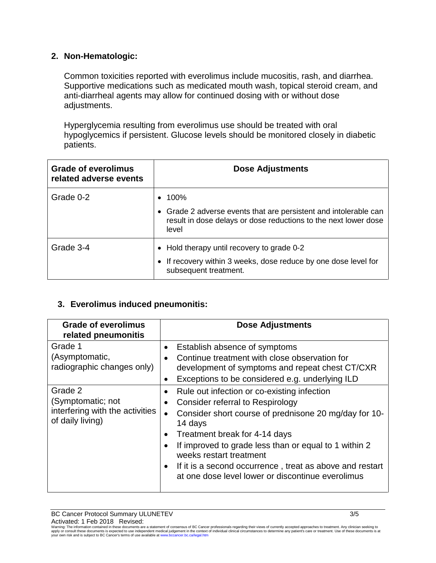### **2. Non-Hematologic:**

Common toxicities reported with everolimus include mucositis, rash, and diarrhea. Supportive medications such as medicated mouth wash, topical steroid cream, and anti-diarrheal agents may allow for continued dosing with or without dose adjustments.

Hyperglycemia resulting from everolimus use should be treated with oral hypoglycemics if persistent. Glucose levels should be monitored closely in diabetic patients.

| <b>Grade of everolimus</b><br>related adverse events | <b>Dose Adjustments</b>                                                                                                                            |
|------------------------------------------------------|----------------------------------------------------------------------------------------------------------------------------------------------------|
| Grade 0-2                                            | 100%<br>Grade 2 adverse events that are persistent and intolerable can<br>result in dose delays or dose reductions to the next lower dose<br>level |
| Grade 3-4                                            | • Hold therapy until recovery to grade 0-2<br>If recovery within 3 weeks, dose reduce by one dose level for<br>subsequent treatment.               |

### **3. Everolimus induced pneumonitis:**

| <b>Grade of everolimus</b><br>related pneumonitis                                   | <b>Dose Adjustments</b>                                                                                                                                                                                                                                                                                                                                                                                                                 |
|-------------------------------------------------------------------------------------|-----------------------------------------------------------------------------------------------------------------------------------------------------------------------------------------------------------------------------------------------------------------------------------------------------------------------------------------------------------------------------------------------------------------------------------------|
| Grade 1<br>(Asymptomatic,<br>radiographic changes only)                             | Establish absence of symptoms<br>$\bullet$<br>Continue treatment with close observation for<br>development of symptoms and repeat chest CT/CXR<br>Exceptions to be considered e.g. underlying ILD<br>$\bullet$                                                                                                                                                                                                                          |
| Grade 2<br>(Symptomatic; not<br>interfering with the activities<br>of daily living) | Rule out infection or co-existing infection<br>$\bullet$<br><b>Consider referral to Respirology</b><br>Consider short course of prednisone 20 mg/day for 10-<br>14 days<br>Treatment break for 4-14 days<br>$\bullet$<br>If improved to grade less than or equal to 1 within 2<br>$\bullet$<br>weeks restart treatment<br>If it is a second occurrence, treat as above and restart<br>at one dose level lower or discontinue everolimus |

Warning: The information contained in these documents are a statement of consensus of BC Cancer professionals regarding their views of currently accepted approaches to treatment. Any clinician seeking to<br>apply or consult t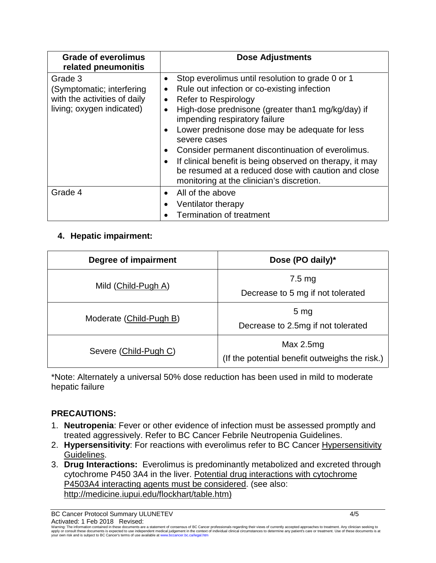| <b>Grade of everolimus</b><br>related pneumonitis                                                 | <b>Dose Adjustments</b>                                                                                                                                                                                                                                                                                                                                                                                                                                                                                                                                                            |
|---------------------------------------------------------------------------------------------------|------------------------------------------------------------------------------------------------------------------------------------------------------------------------------------------------------------------------------------------------------------------------------------------------------------------------------------------------------------------------------------------------------------------------------------------------------------------------------------------------------------------------------------------------------------------------------------|
| Grade 3<br>(Symptomatic; interfering<br>with the activities of daily<br>living; oxygen indicated) | Stop everolimus until resolution to grade 0 or 1<br>$\bullet$<br>Rule out infection or co-existing infection<br>$\bullet$<br>Refer to Respirology<br>$\bullet$<br>High-dose prednisone (greater than1 mg/kg/day) if<br>$\bullet$<br>impending respiratory failure<br>Lower prednisone dose may be adequate for less<br>severe cases<br>Consider permanent discontinuation of everolimus.<br>$\bullet$<br>If clinical benefit is being observed on therapy, it may<br>$\bullet$<br>be resumed at a reduced dose with caution and close<br>monitoring at the clinician's discretion. |
| Grade 4                                                                                           | All of the above<br>Ventilator therapy<br><b>Termination of treatment</b>                                                                                                                                                                                                                                                                                                                                                                                                                                                                                                          |

### **4. Hepatic impairment:**

| Degree of impairment    | Dose (PO daily)*                                            |
|-------------------------|-------------------------------------------------------------|
| Mild (Child-Pugh A)     | $7.5 \text{ mg}$<br>Decrease to 5 mg if not tolerated       |
| Moderate (Child-Pugh B) | 5 <sub>mg</sub><br>Decrease to 2.5mg if not tolerated       |
| Severe (Child-Pugh C)   | Max 2.5mg<br>(If the potential benefit outweighs the risk.) |

\*Note: Alternately a universal 50% dose reduction has been used in mild to moderate hepatic failure

## **PRECAUTIONS:**

- 1. **Neutropenia**: Fever or other evidence of infection must be assessed promptly and treated aggressively. Refer to BC Cancer Febrile Neutropenia Guidelines.
- 2. **Hypersensitivity**: For reactions with everolimus refer to BC Cancer [Hypersensitivity](http://www.bccancer.bc.ca/HPI/DrugDatabase/Appendices/Appendix2/AcuteHypersensitivityReactiontoChemotherapeuticAgentsPolicyIV10.htm)  [Guidelines.](http://www.bccancer.bc.ca/HPI/DrugDatabase/Appendices/Appendix2/AcuteHypersensitivityReactiontoChemotherapeuticAgentsPolicyIV10.htm)
- 3. **Drug Interactions:** Everolimus is predominantly metabolized and excreted through cytochrome P450 3A4 in the liver. Potential drug interactions with cytochrome P4503A4 interacting agents must be considered. (see also: http://medicine.iupui.edu/flockhart/table.htm)

BC Cancer Protocol Summary ULUNETEV 4/5 Activated: 1 Feb 2018 Revised:

Warning: The information contained in these documents are a statement of consensus of BC Cancer professionals regarding their views of currently accepted approaches to treatment. Any clinician seeking to<br>apply or consult t